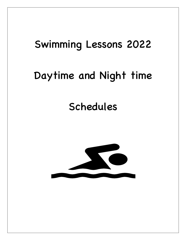## Swimming Lessons 2022

## Daytime and Night time

## Schedules

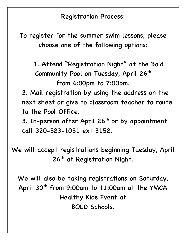Registration Process:

To register for the summer swim lessons, please choose one of the following options:

1. Attend "Registration Night" at the Bold Community Pool on Tuesday, April 26<sup>th</sup> from 6:00pm to 7:00pm.

2. Mail registration by using the address on the next sheet or give to classroom teacher to route to the Pool Office.

3. In-person after April  $26<sup>th</sup>$  or by appointment call 320-523-1031 ext 3152.

We will accept registrations beginning Tuesday, April 26<sup>th</sup> at Registration Night.

We will also be taking registrations on Saturday, April 30<sup>th</sup> from 9:00am to 11:00am at the YMCA Healthy Kids Event at BOLD Schools.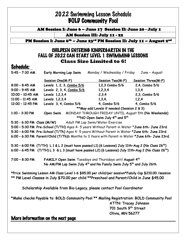## 2022 Swimming Lesson Schedule BOLD Community Pool

AM Session I: June 6 – June 17 Session II: June 20 - July 1

AM Session III: July 11 - 22

PM Session I: June 6<sup>th</sup> - June 23<sup>rd</sup> PM Session II: July 11 - August 2<sup>nd</sup>

#### CHILDREN ENTERING KINDERGARTEN IN THE FALL OF 2022 CAN START LEVEL 1 SWIMMING LESSONS **Class Size Limited to 6!**

### Schedule:

| $5:45 - 7:30$ AM                                                                                               | Early Morning Lap Swim Monday / Wednesday / Friday                                                               |                                                         | June - August      |  |
|----------------------------------------------------------------------------------------------------------------|------------------------------------------------------------------------------------------------------------------|---------------------------------------------------------|--------------------|--|
|                                                                                                                | Session One(M-F)                                                                                                 | Session Two(M-F)                                        | Session Three(M-F) |  |
| $8:00 - 8:45$ AM                                                                                               | Levels 1, 2, 3, Combo 5/6                                                                                        | 1,2,3 Combo 5/6                                         | 2,4, Combo 5/6     |  |
| $9:00 - 9:45$ AM                                                                                               | Levels 2, 3, 4, Combo 5/6                                                                                        | 1,2,3,4                                                 | 1,3,4              |  |
| 10:00 - 10:45 AM                                                                                               | Levels 1,2,3,4                                                                                                   | 2,3,4                                                   | 2,3, Combo 5/6     |  |
| $11:00 - 11:45$ AM                                                                                             | Levels 1,2,3,4                                                                                                   | 1,3,4,                                                  | 1,2,4              |  |
| 12:00 - 12:45 PM                                                                                               | Levels 3, 4, Combo 5/6                                                                                           | 4, Combo 5/6                                            | 4, Combo 5/6       |  |
|                                                                                                                |                                                                                                                  | ** May add Levels if needed (Session 2 & 3)             |                    |  |
| $1:30 - 3:30 P.M$                                                                                              | Open Swim MONDAY THROUGH FRIDAY UNTIL August 5th (No Weekends)                                                   |                                                         |                    |  |
|                                                                                                                |                                                                                                                  | **NO Open Swim July 4 <sup>th</sup> and 5 <sup>th</sup> |                    |  |
|                                                                                                                | 5:30 - 6:30 PM Class (M/W) Adult PM Lap Swim/Water Exercise                                                      |                                                         |                    |  |
|                                                                                                                | 5:00 - 5:30 PM Pre-School (T/TH) Ages 4- 5 years Without Parent in Water *June 6th-June 23rd.                    |                                                         |                    |  |
|                                                                                                                | 5:30 - 6:00 PM Pre-School (T/Th) Ages 4- 5 years Without Parent in Water *June 6th-June 23rd.                    |                                                         |                    |  |
|                                                                                                                | 6:00 - 6:30 PM Parent/Child (T/Th)6 Months to 3 Years with Parent in Water *June 6th-June 23rd.                  |                                                         |                    |  |
|                                                                                                                |                                                                                                                  |                                                         |                    |  |
| 5:30 - 6:00 PM (T/TH) L 1 & L 2 (must have passed L1) (6 Lessons) July 11th-Aug 2 (No Class 26 <sup>th</sup> ) |                                                                                                                  |                                                         |                    |  |
|                                                                                                                | 6:00 - 6:45 PM $(T/TH) L 3$ & L 3 (must have passed L2) (6 Lessons) July 11th-Aug 2 (No Class 26 <sup>th</sup> ) |                                                         |                    |  |
|                                                                                                                |                                                                                                                  |                                                         |                    |  |
| $7:00 - 8:30 P.M$                                                                                              | FAMILY Open Swim Tuesdays and Thursdays until August 4th                                                         |                                                         |                    |  |
|                                                                                                                | No AM/PM Lap Swim July 4 <sup>th</sup> and No Family Swim July 5 <sup>th</sup> and July 26th                     |                                                         |                    |  |
|                                                                                                                |                                                                                                                  |                                                         |                    |  |
| *Price Swimming Lesson AM Class Level 1-6 \$85.00 per child/per session*Family Cap \$210.00 /session           |                                                                                                                  |                                                         |                    |  |
| ** PM Level Classes in July \$70.00 per child **Preschool and Parent/Child in June \$45.00                     |                                                                                                                  |                                                         |                    |  |
| Scholarship Available from Bio-Legacy, please contact Pool Coordinator                                         |                                                                                                                  |                                                         |                    |  |
|                                                                                                                |                                                                                                                  |                                                         |                    |  |
|                                                                                                                |                                                                                                                  |                                                         |                    |  |
|                                                                                                                | *Make checks Payable to: BOLD Community Pool ** Mailing Registration: BOLD Community Pool                        |                                                         |                    |  |
|                                                                                                                |                                                                                                                  | ATTN: Tracey Johnson                                    |                    |  |
|                                                                                                                |                                                                                                                  | 701 South 9th Street                                    |                    |  |
|                                                                                                                |                                                                                                                  | Olivia, MN 56277                                        |                    |  |
|                                                                                                                | More information on the next page                                                                                |                                                         |                    |  |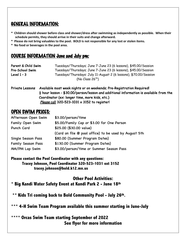### GENERAL INFORMATION:

- **\* Children should shower before class and shower/dress after swimming as independently as possible. When their schedule permits, they should arrive in their suits and change afterward.**
- **\* Please do not bring valuables to the pool. BOLD is not responsible for any lost or stolen items.**
- **\* No food or beverages in the pool area.**

### COURSE INFORMATION June and July pm:

| Parent & Child Swim          | Tuesdays/Thursdays; June 7-June 23 (6 lessons), \$45.00/Session   |
|------------------------------|-------------------------------------------------------------------|
| <b>Pre-School Swim</b>       | Tuesdays/Thursdays; June 7-June 23 (6 lessons), \$45.00/Session   |
| Level $1 - 3$                | Tuesdays/Thursdays: July 11-August 2 (6 lessons), \$70.00/Session |
| (No Class 26 <sup>th</sup> ) |                                                                   |

| Private Lessons | Available most week nights or on weekends; Pre-Registration Required!                              |
|-----------------|----------------------------------------------------------------------------------------------------|
|                 | $\frac{1}{2}$ hour lesson - \$30.00/person/lesson and additional information is available from the |
|                 | Coordinator (ex: longer time, more kids, etc.)                                                     |
|                 | Please call 320-523-1031 x 3152 to register!                                                       |

## OPEN SWIM PRICES:

| Afternoon Open Swim       | \$3.00/person/time                                    |
|---------------------------|-------------------------------------------------------|
| Family Open Swim          | \$5.00/Family Cap or \$3.00 for One Person            |
| Punch Card                | \$25.00 (\$30.00 value)                               |
|                           | (Card on file @ pool office) to be used by August 5th |
| Single Season Pass        | \$80.00 (Summer Program Dates)                        |
| <b>Family Season Pass</b> | \$130.00 (Summer Program Dates)                       |
| AM/PM Lap Swim            | \$3.00/person/time or Summer Season Pass              |

**Please contact the Pool Coordinator with any questions: Tracey Johnson, Pool Coordinator 320-523-1031 ext 3152 tracey.johnson@bold.k12.mn.us**

#### **Other Pool Activities:**

**\* Big Kandi Water Safety Event at Kandi Park 2 - June 18th**

**\*\* Kids Tri coming back to Bold Community Pool - July 26th.**

**\*\*\* 4-H Swim Team Program available this summer starting in June-July**

#### **\*\*\*\* Orcas Swim Team starting September of 2022 See flyer for more information**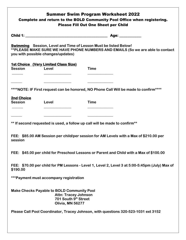| <b>Summer Swim Program Worksheet 2022</b><br>Complete and return to the BOLD Community Pool Office when registering.<br><b>Please Fill Out One Sheet per Child</b>                               |                                                                                                                              |             |                                                                                      |  |  |
|--------------------------------------------------------------------------------------------------------------------------------------------------------------------------------------------------|------------------------------------------------------------------------------------------------------------------------------|-------------|--------------------------------------------------------------------------------------|--|--|
|                                                                                                                                                                                                  |                                                                                                                              |             |                                                                                      |  |  |
| <b>Swimming</b> Session, Level and Time of Lesson Must be listed Below!<br>** PLEASE MAKE SURE WE HAVE PHONE NUMBERS AND EMAILS (So we are able to contact<br>you with possible changes/updates) |                                                                                                                              |             |                                                                                      |  |  |
|                                                                                                                                                                                                  | <b>1st Choice (Very Limited Class Size)</b>                                                                                  |             |                                                                                      |  |  |
| <b>Session</b>                                                                                                                                                                                   | Level                                                                                                                        | <b>Time</b> |                                                                                      |  |  |
|                                                                                                                                                                                                  |                                                                                                                              |             |                                                                                      |  |  |
|                                                                                                                                                                                                  |                                                                                                                              |             | ****NOTE: IF First request can be honored, NO Phone Call Will be made to confirm**** |  |  |
| <b>2nd Choice</b><br><b>Session</b>                                                                                                                                                              | Level                                                                                                                        | <b>Time</b> |                                                                                      |  |  |
|                                                                                                                                                                                                  |                                                                                                                              |             |                                                                                      |  |  |
|                                                                                                                                                                                                  | ** If second requested is used, a follow up call will be made to confirm**                                                   |             |                                                                                      |  |  |
| FEE: \$85.00 AM Session per child/per session for AM Levels with a Max of \$210.00 per<br>session                                                                                                |                                                                                                                              |             |                                                                                      |  |  |
| FEE: \$45.00 per child for Preschool Lessons or Parent and Child with a Max of \$100.00                                                                                                          |                                                                                                                              |             |                                                                                      |  |  |
| FEE: \$70.00 per child for PM Lessons - Level 1, Level 2, Level 3 at 5:00-5:45pm (July) Max of<br>\$190.00                                                                                       |                                                                                                                              |             |                                                                                      |  |  |
| ***Payment must accompany registration                                                                                                                                                           |                                                                                                                              |             |                                                                                      |  |  |
|                                                                                                                                                                                                  | <b>Make Checks Payable to BOLD Community Pool</b><br><b>Attn: Tracey Johnson</b><br>701 South 9th Street<br>Olivia, MN 56277 |             |                                                                                      |  |  |
| Please Call Pool Coordinator, Tracey Johnson, with questions 320-523-1031 ext 3152                                                                                                               |                                                                                                                              |             |                                                                                      |  |  |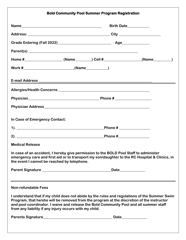| <b>Bold Community Pool Summer Program Registration</b>                                                                                                                                                                                                                                                                                        |                                                                                  |  |  |  |
|-----------------------------------------------------------------------------------------------------------------------------------------------------------------------------------------------------------------------------------------------------------------------------------------------------------------------------------------------|----------------------------------------------------------------------------------|--|--|--|
|                                                                                                                                                                                                                                                                                                                                               | Birth Date___________                                                            |  |  |  |
|                                                                                                                                                                                                                                                                                                                                               |                                                                                  |  |  |  |
|                                                                                                                                                                                                                                                                                                                                               |                                                                                  |  |  |  |
|                                                                                                                                                                                                                                                                                                                                               |                                                                                  |  |  |  |
|                                                                                                                                                                                                                                                                                                                                               |                                                                                  |  |  |  |
|                                                                                                                                                                                                                                                                                                                                               |                                                                                  |  |  |  |
|                                                                                                                                                                                                                                                                                                                                               |                                                                                  |  |  |  |
|                                                                                                                                                                                                                                                                                                                                               |                                                                                  |  |  |  |
|                                                                                                                                                                                                                                                                                                                                               |                                                                                  |  |  |  |
|                                                                                                                                                                                                                                                                                                                                               |                                                                                  |  |  |  |
| In Case of Emergency Contact:                                                                                                                                                                                                                                                                                                                 |                                                                                  |  |  |  |
| $1).$ $\overline{\phantom{a}}$                                                                                                                                                                                                                                                                                                                | Phone $\sharp$ _________________                                                 |  |  |  |
|                                                                                                                                                                                                                                                                                                                                               | Phone # _______________                                                          |  |  |  |
| <b>Medical Release</b>                                                                                                                                                                                                                                                                                                                        |                                                                                  |  |  |  |
| In case of an accident, I hereby give permission to the BOLD Pool Staff to administer<br>emergency care and first aid or to transport my son/daughter to the RC Hospital & Clinics, in<br>the event I cannot be reached by telephone.                                                                                                         |                                                                                  |  |  |  |
|                                                                                                                                                                                                                                                                                                                                               | Date_____________                                                                |  |  |  |
|                                                                                                                                                                                                                                                                                                                                               | ,我们也不会有什么。""我们的人,我们也不会有什么?""我们的人,我们也不会有什么?""我们的人,我们也不会有什么?""我们的人,我们也不会有什么?""我们的人 |  |  |  |
| <b>Non-refundable Fees</b>                                                                                                                                                                                                                                                                                                                    |                                                                                  |  |  |  |
| I understand that if my child does not abide by the rules and regulations of the Summer Swim<br>Program, that he/she will be removed from the program at the discretion of the instructor<br>and pool coordinator. I waive and release the Bold Community Pool and all summer staff<br>from any liability if any injury occurs with my child. |                                                                                  |  |  |  |
|                                                                                                                                                                                                                                                                                                                                               |                                                                                  |  |  |  |
|                                                                                                                                                                                                                                                                                                                                               |                                                                                  |  |  |  |